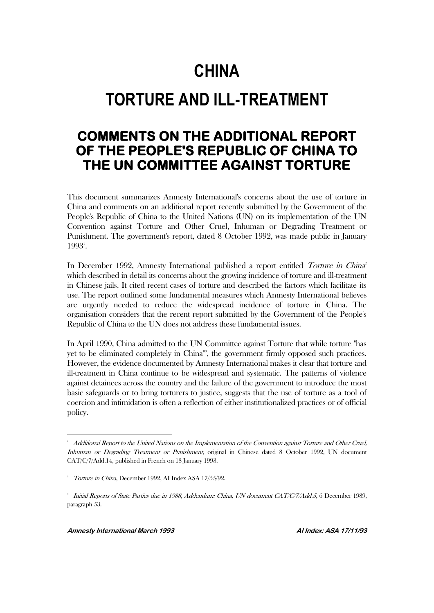## **CHINA**

# **TORTURE AND ILL-TREATMENT**

## **COMMENTS ON THE ADDITIONAL REPORT OF THE PEOPLE'S REPUBLIC OF CHINA TO THE UN COMMITTEE AGAINST TORTURE**

This document summarizes Amnesty International's concerns about the use of torture in China and comments on an additional report recently submitted by the Government of the People's Republic of China to the United Nations (UN) on its implementation of the UN Convention against Torture and Other Cruel, Inhuman or Degrading Treatment or Punishment. The government's report, dated 8 October 1992, was made public in January 1993<sup>1</sup>.

In December 1992, Amnesty International published a report entitled Torture in China which described in detail its concerns about the growing incidence of torture and ill-treatment in Chinese jails. It cited recent cases of torture and described the factors which facilitate its use. The report outlined some fundamental measures which Amnesty International believes are urgently needed to reduce the widespread incidence of torture in China. The organisation considers that the recent report submitted by the Government of the People's Republic of China to the UN does not address these fundamental issues.

In April 1990, China admitted to the UN Committee against Torture that while torture "has yet to be eliminated completely in China"<sup>3</sup> , the government firmly opposed such practices. However, the evidence documented by Amnesty International makes it clear that torture and ill-treatment in China continue to be widespread and systematic. The patterns of violence against detainees across the country and the failure of the government to introduce the most basic safeguards or to bring torturers to justice, suggests that the use of torture as a tool of coercion and intimidation is often a reflection of either institutionalized practices or of official policy.

<sup>&</sup>lt;sup>1</sup> Additional Report to the United Nations on the Implementation of the Convention against Torture and Other Cruel, Inhuman or Degrading Treatment or Punishment, original in Chinese dated 8 October 1992, UN document CAT/C/7/Add.14, published in French on 18 January 1993.

<sup>2</sup> Torture in China, December 1992, AI Index ASA 17/55/92.

<sup>3</sup> Initial Reports of State Parties due in 1988, Addendum: China, UN document CAT/C/7/Add.5, 6 December 1989, paragraph 53.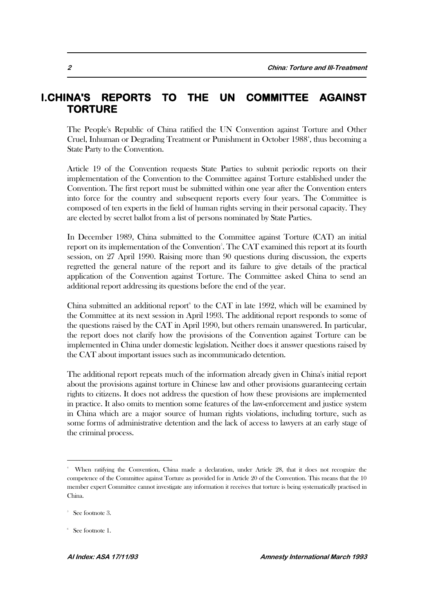#### **I.CHINA'S REPORTS TO THE UN COMMITTEE AGAINST TORTURE**

The People's Republic of China ratified the UN Convention against Torture and Other Cruel, Inhuman or Degrading Treatment or Punishment in October 1988<sup>4</sup>, thus becoming a State Party to the Convention.

Article 19 of the Convention requests State Parties to submit periodic reports on their implementation of the Convention to the Committee against Torture established under the Convention. The first report must be submitted within one year after the Convention enters into force for the country and subsequent reports every four years. The Committee is composed of ten experts in the field of human rights serving in their personal capacity. They are elected by secret ballot from a list of persons nominated by State Parties.

In December 1989, China submitted to the Committee against Torture (CAT) an initial report on its implementation of the Convention<sup>5</sup>. The CAT examined this report at its fourth session, on 27 April 1990. Raising more than 90 questions during discussion, the experts regretted the general nature of the report and its failure to give details of the practical application of the Convention against Torture. The Committee asked China to send an additional report addressing its questions before the end of the year.

China submitted an additional report to the CAT in late 1992, which will be examined by the Committee at its next session in April 1993. The additional report responds to some of the questions raised by the CAT in April 1990, but others remain unanswered. In particular, the report does not clarify how the provisions of the Convention against Torture can be implemented in China under domestic legislation. Neither does it answer questions raised by the CAT about important issues such as incommunicado detention.

The additional report repeats much of the information already given in China's initial report about the provisions against torture in Chinese law and other provisions guaranteeing certain rights to citizens. It does not address the question of how these provisions are implemented in practice. It also omits to mention some features of the law-enforcement and justice system in China which are a major source of human rights violations, including torture, such as some forms of administrative detention and the lack of access to lawyers at an early stage of the criminal process.

<sup>4</sup> When ratifying the Convention, China made a declaration, under Article 28, that it does not recognize the competence of the Committee against Torture as provided for in Article 20 of the Convention. This means that the 10 member expert Committee cannot investigate any information it receives that torture is being systematically practised in China.

<sup>5</sup> See footnote 3.

<sup>6</sup> See footnote 1.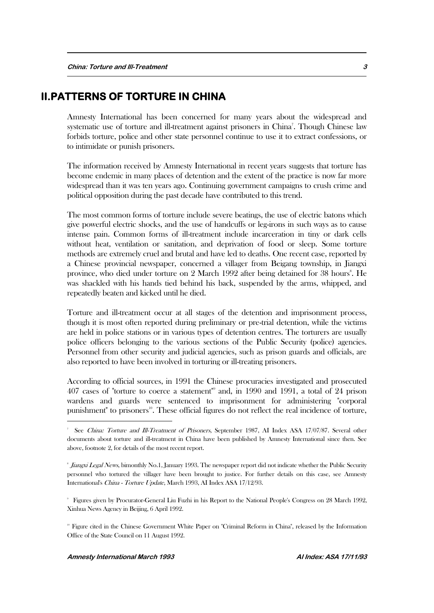#### **II.PATTERNS OF TORTURE IN CHINA**

Amnesty International has been concerned for many years about the widespread and systematic use of torture and ill-treatment against prisoners in China<sup>7</sup>. Though Chinese law forbids torture, police and other state personnel continue to use it to extract confessions, or to intimidate or punish prisoners.

The information received by Amnesty International in recent years suggests that torture has become endemic in many places of detention and the extent of the practice is now far more widespread than it was ten years ago. Continuing government campaigns to crush crime and political opposition during the past decade have contributed to this trend.

The most common forms of torture include severe beatings, the use of electric batons which give powerful electric shocks, and the use of handcuffs or leg-irons in such ways as to cause intense pain. Common forms of ill-treatment include incarceration in tiny or dark cells without heat, ventilation or sanitation, and deprivation of food or sleep. Some torture methods are extremely cruel and brutal and have led to deaths. One recent case, reported by a Chinese provincial newspaper, concerned a villager from Beigang township, in Jiangxi province, who died under torture on 2 March 1992 after being detained for 38 hours<sup>8</sup>. He was shackled with his hands tied behind his back, suspended by the arms, whipped, and repeatedly beaten and kicked until he died.

Torture and ill-treatment occur at all stages of the detention and imprisonment process, though it is most often reported during preliminary or pre-trial detention, while the victims are held in police stations or in various types of detention centres. The torturers are usually police officers belonging to the various sections of the Public Security (police) agencies. Personnel from other security and judicial agencies, such as prison guards and officials, are also reported to have been involved in torturing or ill-treating prisoners.

According to official sources, in 1991 the Chinese procuracies investigated and prosecuted 407 cases of "torture to coerce a statement"<sup>9</sup> and, in 1990 and 1991, a total of 24 prison wardens and guards were sentenced to imprisonment for administering "corporal punishment" to prisoners<sup>10</sup>. These official figures do not reflect the real incidence of torture,

9 Figures given by Procurator-General Liu Fuzhi in his Report to the National People's Congress on 28 March 1992, Xinhua News Agency in Beijing, 6 April 1992.

<sup>10</sup> Figure cited in the Chinese Government White Paper on "Criminal Reform in China", released by the Information Office of the State Council on 11 August 1992.

<sup>7</sup> See China: Torture and Ill-Treatment of Prisoners, September 1987, AI Index ASA 17/07/87. Several other documents about torture and ill-treatment in China have been published by Amnesty International since then. See above, footnote 2, for details of the most recent report.

*Iongxi Legal News*, bimonthly No.1, January 1993. The newspaper report did not indicate whether the Public Security personnel who tortured the villager have been brought to justice. For further details on this case, see Amnesty International's China - Torture Update, March 1993, AI Index ASA 17/12/93.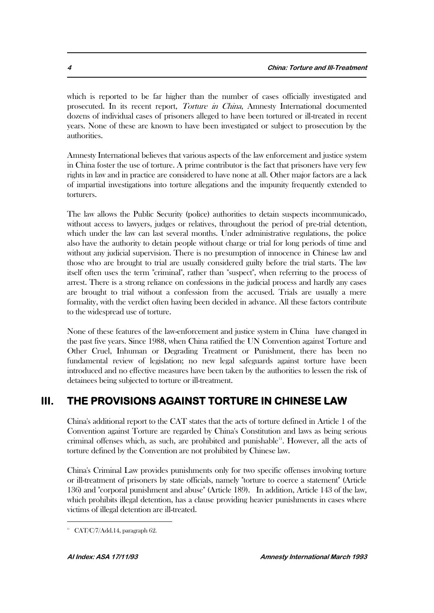which is reported to be far higher than the number of cases officially investigated and prosecuted. In its recent report, Torture in China, Amnesty International documented dozens of individual cases of prisoners alleged to have been tortured or ill-treated in recent years. None of these are known to have been investigated or subject to prosecution by the authorities.

Amnesty International believes that various aspects of the law enforcement and justice system in China foster the use of torture. A prime contributor is the fact that prisoners have very few rights in law and in practice are considered to have none at all. Other major factors are a lack of impartial investigations into torture allegations and the impunity frequently extended to torturers.

The law allows the Public Security (police) authorities to detain suspects incommunicado, without access to lawyers, judges or relatives, throughout the period of pre-trial detention, which under the law can last several months. Under administrative regulations, the police also have the authority to detain people without charge or trial for long periods of time and without any judicial supervision. There is no presumption of innocence in Chinese law and those who are brought to trial are usually considered guilty before the trial starts. The law itself often uses the term "criminal", rather than "suspect", when referring to the process of arrest. There is a strong reliance on confessions in the judicial process and hardly any cases are brought to trial without a confession from the accused. Trials are usually a mere formality, with the verdict often having been decided in advance. All these factors contribute to the widespread use of torture.

None of these features of the law-enforcement and justice system in China have changed in the past five years. Since 1988, when China ratified the UN Convention against Torture and Other Cruel, Inhuman or Degrading Treatment or Punishment, there has been no fundamental review of legislation; no new legal safeguards against torture have been introduced and no effective measures have been taken by the authorities to lessen the risk of detainees being subjected to torture or ill-treatment.

## **III. THE PROVISIONS AGAINST TORTURE IN CHINESE LAW**

China's additional report to the CAT states that the acts of torture defined in Article 1 of the Convention against Torture are regarded by China's Constitution and laws as being serious criminal offenses which, as such, are prohibited and punishable<sup>11</sup>. However, all the acts of torture defined by the Convention are not prohibited by Chinese law.

China's Criminal Law provides punishments only for two specific offenses involving torture or ill-treatment of prisoners by state officials, namely "torture to coerce a statement" (Article 136) and "corporal punishment and abuse" (Article 189). In addition, Article 143 of the law, which prohibits illegal detention, has a clause providing heavier punishments in cases where victims of illegal detention are ill-treated.

 $\text{L}$  CAT/C/7/Add.14, paragraph 62.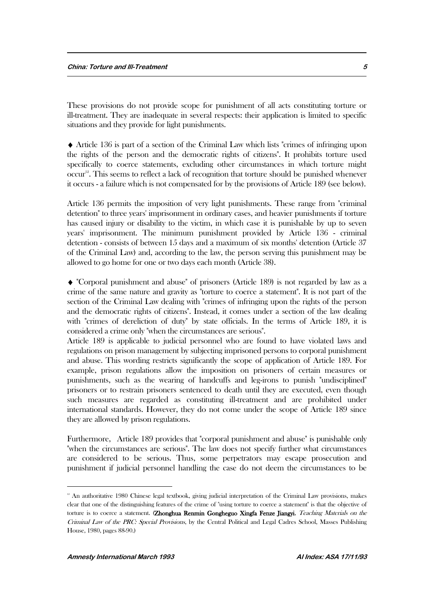These provisions do not provide scope for punishment of all acts constituting torture or ill-treatment. They are inadequate in several respects: their application is limited to specific situations and they provide for light punishments.

 $\blacklozenge$  Article 136 is part of a section of the Criminal Law which lists "crimes of infringing upon the rights of the person and the democratic rights of citizens". It prohibits torture used specifically to coerce statements, excluding other circumstances in which torture might occur<sup>12</sup>. This seems to reflect a lack of recognition that torture should be punished whenever it occurs - a failure which is not compensated for by the provisions of Article 189 (see below).

Article 136 permits the imposition of very light punishments. These range from "criminal detention" to three years' imprisonment in ordinary cases, and heavier punishments if torture has caused injury or disability to the victim, in which case it is punishable by up to seven years' imprisonment. The minimum punishment provided by Article 136 - criminal detention - consists of between 15 days and a maximum of six months' detention (Article 37 of the Criminal Law) and, according to the law, the person serving this punishment may be allowed to go home for one or two days each month (Article 38).

 "Corporal punishment and abuse" of prisoners (Article 189) is not regarded by law as a crime of the same nature and gravity as "torture to coerce a statement". It is not part of the section of the Criminal Law dealing with "crimes of infringing upon the rights of the person and the democratic rights of citizens". Instead, it comes under a section of the law dealing with "crimes of dereliction of duty" by state officials. In the terms of Article 189, it is considered a crime only "when the circumstances are serious".

Article 189 is applicable to judicial personnel who are found to have violated laws and regulations on prison management by subjecting imprisoned persons to corporal punishment and abuse. This wording restricts significantly the scope of application of Article 189. For example, prison regulations allow the imposition on prisoners of certain measures or punishments, such as the wearing of handcuffs and leg-irons to punish "undisciplined" prisoners or to restrain prisoners sentenced to death until they are executed, even though such measures are regarded as constituting ill-treatment and are prohibited under international standards. However, they do not come under the scope of Article 189 since they are allowed by prison regulations.

Furthermore, Article 189 provides that "corporal punishment and abuse" is punishable only "when the circumstances are serious". The law does not specify further what circumstances are considered to be serious. Thus, some perpetrators may escape prosecution and punishment if judicial personnel handling the case do not deem the circumstances to be

<sup>&</sup>lt;sup>12</sup> An authoritative 1980 Chinese legal textbook, giving judicial interpretation of the Criminal Law provisions, makes clear that one of the distinguishing features of the crime of "using torture to coerce a statement" is that the objective of torture is to coerce a statement. (Zhonghua Renmin Gongheguo Xingfa Fenze Jiangyi, Teaching Materials on the Criminal Law of the PRC: Special Provisions, by the Central Political and Legal Cadres School, Masses Publishing House, 1980, pages 88-90.)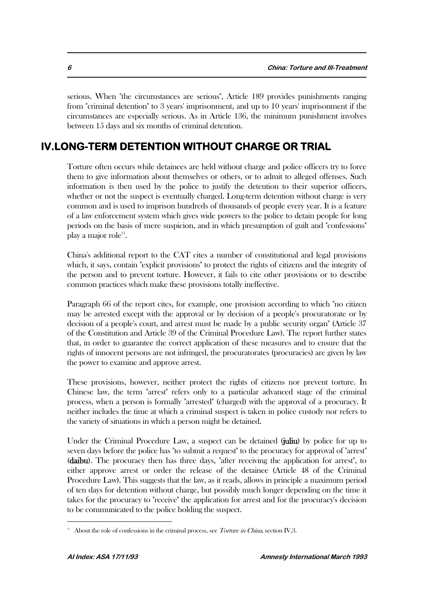serious. When "the circumstances are serious", Article 189 provides punishments ranging from "criminal detention" to 3 years' imprisonment, and up to 10 years' imprisonment if the circumstances are especially serious. As in Article 136, the minimum punishment involves between 15 days and six months of criminal detention.

### **IV.LONG-TERM DETENTION WITHOUT CHARGE OR TRIAL**

Torture often occurs while detainees are held without charge and police officers try to force them to give information about themselves or others, or to admit to alleged offenses. Such information is then used by the police to justify the detention to their superior officers, whether or not the suspect is eventually charged. Long-term detention without charge is very common and is used to imprison hundreds of thousands of people every year. It is a feature of a law enforcement system which gives wide powers to the police to detain people for long periods on the basis of mere suspicion, and in which presumption of guilt and "confessions" play a major role $^{13}$ .

China's additional report to the CAT cites a number of constitutional and legal provisions which, it says, contain "explicit provisions" to protect the rights of citizens and the integrity of the person and to prevent torture. However, it fails to cite other provisions or to describe common practices which make these provisions totally ineffective.

Paragraph 66 of the report cites, for example, one provision according to which "no citizen may be arrested except with the approval or by decision of a people's procuratorate or by decision of a people's court, and arrest must be made by a public security organ" (Article 37 of the Constitution and Article 39 of the Criminal Procedure Law). The report further states that, in order to guarantee the correct application of these measures and to ensure that the rights of innocent persons are not infringed, the procuratorates (procuracies) are given by law the power to examine and approve arrest.

These provisions, however, neither protect the rights of citizens nor prevent torture. In Chinese law, the term "arrest" refers only to a particular advanced stage of the criminal process, when a person is formally "arrested" (charged) with the approval of a procuracy. It neither includes the time at which a criminal suspect is taken in police custody nor refers to the variety of situations in which a person might be detained.

Under the Criminal Procedure Law, a suspect can be detained (juliu) by police for up to seven days before the police has "to submit a request" to the procuracy for approval of "arrest" (daibu). The procuracy then has three days, "after receiving the application for arrest", to either approve arrest or order the release of the detainee (Article 48 of the Criminal Procedure Law). This suggests that the law, as it reads, allows in principle a maximum period of ten days for detention without charge, but possibly much longer depending on the time it takes for the procuracy to "receive" the application for arrest and for the procuracy's decision to be communicated to the police holding the suspect.

<sup>&</sup>lt;sup>13</sup> About the role of confessions in the criminal process, see *Torture in China*, section IV,3.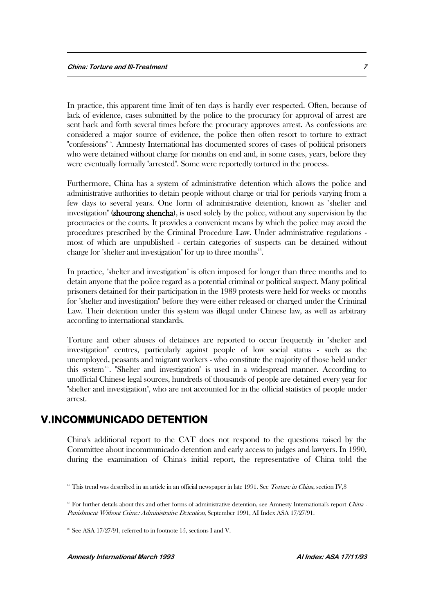In practice, this apparent time limit of ten days is hardly ever respected. Often, because of lack of evidence, cases submitted by the police to the procuracy for approval of arrest are sent back and forth several times before the procuracy approves arrest. As confessions are considered a major source of evidence, the police then often resort to torture to extract "confessions"14. Amnesty International has documented scores of cases of political prisoners who were detained without charge for months on end and, in some cases, years, before they were eventually formally "arrested". Some were reportedly tortured in the process.

Furthermore, China has a system of administrative detention which allows the police and administrative authorities to detain people without charge or trial for periods varying from a few days to several years. One form of administrative detention, known as "shelter and investigation" (shourong shencha), is used solely by the police, without any supervision by the procuracies or the courts. It provides a convenient means by which the police may avoid the procedures prescribed by the Criminal Procedure Law. Under administrative regulations most of which are unpublished - certain categories of suspects can be detained without charge for "shelter and investigation" for up to three months<sup>15</sup>.

In practice, "shelter and investigation" is often imposed for longer than three months and to detain anyone that the police regard as a potential criminal or political suspect. Many political prisoners detained for their participation in the 1989 protests were held for weeks or months for "shelter and investigation" before they were either released or charged under the Criminal Law. Their detention under this system was illegal under Chinese law, as well as arbitrary according to international standards.

Torture and other abuses of detainees are reported to occur frequently in "shelter and investigation" centres, particularly against people of low social status - such as the unemployed, peasants and migrant workers - who constitute the majority of those held under this system<sup>16</sup>. "Shelter and investigation" is used in a widespread manner. According to unofficial Chinese legal sources, hundreds of thousands of people are detained every year for "shelter and investigation", who are not accounted for in the official statistics of people under arrest.

#### **V.INCOMMUNICADO DETENTION**

 $\overline{a}$ 

China's additional report to the CAT does not respond to the questions raised by the Committee about incommunicado detention and early access to judges and lawyers. In 1990, during the examination of China's initial report, the representative of China told the

<sup>&</sup>lt;sup>14</sup> This trend was described in an article in an official newspaper in late 1991. See Torture in China, section IV, 3

<sup>&</sup>lt;sup>15</sup> For further details about this and other forms of administrative detention, see Amnesty International's report China -Punishment Without Crime: Administrative Detention, September 1991, AI Index ASA 17/27/91.

<sup>&</sup>lt;sup>16</sup> See ASA 17/27/91, referred to in footnote 15, sections I and V.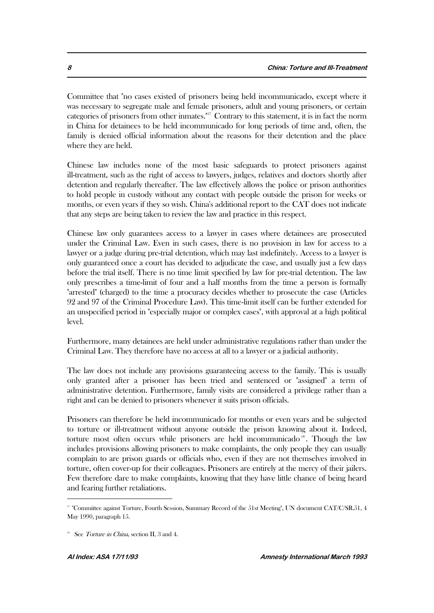Committee that "no cases existed of prisoners being held incommunicado, except where it was necessary to segregate male and female prisoners, adult and young prisoners, or certain categories of prisoners from other inmates."<sup>17</sup> Contrary to this statement, it is in fact the norm in China for detainees to be held incommunicado for long periods of time and, often, the family is denied official information about the reasons for their detention and the place where they are held.

Chinese law includes none of the most basic safeguards to protect prisoners against ill-treatment, such as the right of access to lawyers, judges, relatives and doctors shortly after detention and regularly thereafter. The law effectively allows the police or prison authorities to hold people in custody without any contact with people outside the prison for weeks or months, or even years if they so wish. China's additional report to the CAT does not indicate that any steps are being taken to review the law and practice in this respect.

Chinese law only guarantees access to a lawyer in cases where detainees are prosecuted under the Criminal Law. Even in such cases, there is no provision in law for access to a lawyer or a judge during pre-trial detention, which may last indefinitely. Access to a lawyer is only guaranteed once a court has decided to adjudicate the case, and usually just a few days before the trial itself. There is no time limit specified by law for pre-trial detention. The law only prescribes a time-limit of four and a half months from the time a person is formally "arrested" (charged) to the time a procuracy decides whether to prosecute the case (Articles 92 and 97 of the Criminal Procedure Law). This time-limit itself can be further extended for an unspecified period in "especially major or complex cases", with approval at a high political level.

Furthermore, many detainees are held under administrative regulations rather than under the Criminal Law. They therefore have no access at all to a lawyer or a judicial authority.

The law does not include any provisions guaranteeing access to the family. This is usually only granted after a prisoner has been tried and sentenced or "assigned" a term of administrative detention. Furthermore, family visits are considered a privilege rather than a right and can be denied to prisoners whenever it suits prison officials.

Prisoners can therefore be held incommunicado for months or even years and be subjected to torture or ill-treatment without anyone outside the prison knowing about it. Indeed, torture most often occurs while prisoners are held incommunicado  $18$ . Though the law includes provisions allowing prisoners to make complaints, the only people they can usually complain to are prison guards or officials who, even if they are not themselves involved in torture, often cover-up for their colleagues. Prisoners are entirely at the mercy of their jailers. Few therefore dare to make complaints, knowing that they have little chance of being heard and fearing further retaliations.

<sup>&</sup>lt;sup>17</sup> "Committee against Torture, Fourth Session, Summary Record of the 51st Meeting", UN document CAT/C/SR.51, 4 May 1990, paragraph 15.

<sup>&</sup>lt;sup>18</sup> See *Torture in China*, section II, 3 and 4.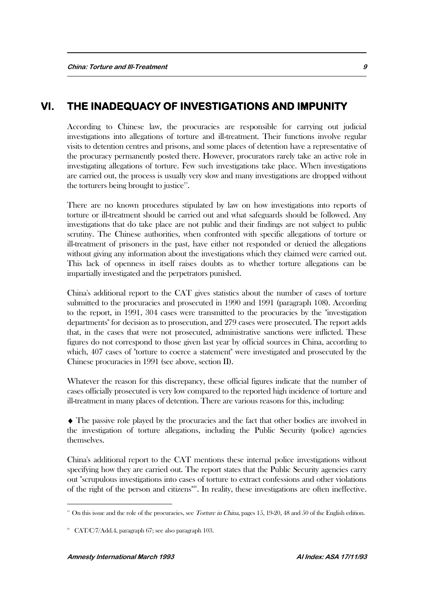### **VI. THE INADEQUACY OF INVESTIGATIONS AND IMPUNITY**

According to Chinese law, the procuracies are responsible for carrying out judicial investigations into allegations of torture and ill-treatment. Their functions involve regular visits to detention centres and prisons, and some places of detention have a representative of the procuracy permanently posted there. However, procurators rarely take an active role in investigating allegations of torture. Few such investigations take place. When investigations are carried out, the process is usually very slow and many investigations are dropped without the torturers being brought to justice<sup>19</sup>.

There are no known procedures stipulated by law on how investigations into reports of torture or ill-treatment should be carried out and what safeguards should be followed. Any investigations that do take place are not public and their findings are not subject to public scrutiny. The Chinese authorities, when confronted with specific allegations of torture or ill-treatment of prisoners in the past, have either not responded or denied the allegations without giving any information about the investigations which they claimed were carried out. This lack of openness in itself raises doubts as to whether torture allegations can be impartially investigated and the perpetrators punished.

China's additional report to the CAT gives statistics about the number of cases of torture submitted to the procuracies and prosecuted in 1990 and 1991 (paragraph 108). According to the report, in 1991, 304 cases were transmitted to the procuracies by the "investigation departments" for decision as to prosecution, and 279 cases were prosecuted. The report adds that, in the cases that were not prosecuted, administrative sanctions were inflicted. These figures do not correspond to those given last year by official sources in China, according to which, 407 cases of "torture to coerce a statement" were investigated and prosecuted by the Chinese procuracies in 1991 (see above, section II).

Whatever the reason for this discrepancy, these official figures indicate that the number of cases officially prosecuted is very low compared to the reported high incidence of torture and ill-treatment in many places of detention. There are various reasons for this, including:

 The passive role played by the procuracies and the fact that other bodies are involved in the investigation of torture allegations, including the Public Security (police) agencies themselves.

China's additional report to the CAT mentions these internal police investigations without specifying how they are carried out. The report states that the Public Security agencies carry out "scrupulous investigations into cases of torture to extract confessions and other violations of the right of the person and citizens"20. In reality, these investigations are often ineffective.

<sup>&</sup>lt;sup>19</sup> On this issue and the role of the procuracies, see *Torture in China*, pages 15, 19-20, 48 and 50 of the English edition.

<sup>20</sup> CAT/C/7/Add.4, paragraph 67; see also paragraph 103.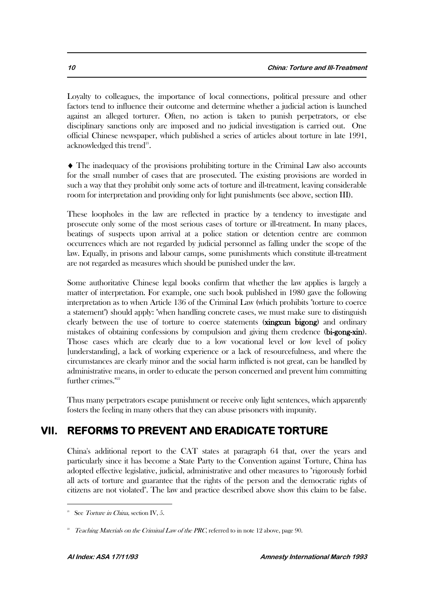Loyalty to colleagues, the importance of local connections, political pressure and other factors tend to influence their outcome and determine whether a judicial action is launched against an alleged torturer. Often, no action is taken to punish perpetrators, or else disciplinary sanctions only are imposed and no judicial investigation is carried out. One official Chinese newspaper, which published a series of articles about torture in late 1991, acknowledged this trend $^{21}$ .

 The inadequacy of the provisions prohibiting torture in the Criminal Law also accounts for the small number of cases that are prosecuted. The existing provisions are worded in such a way that they prohibit only some acts of torture and ill-treatment, leaving considerable room for interpretation and providing only for light punishments (see above, section III).

These loopholes in the law are reflected in practice by a tendency to investigate and prosecute only some of the most serious cases of torture or ill-treatment. In many places, beatings of suspects upon arrival at a police station or detention centre are common occurrences which are not regarded by judicial personnel as falling under the scope of the law. Equally, in prisons and labour camps, some punishments which constitute ill-treatment are not regarded as measures which should be punished under the law.

Some authoritative Chinese legal books confirm that whether the law applies is largely a matter of interpretation. For example, one such book published in 1980 gave the following interpretation as to when Article 136 of the Criminal Law (which prohibits "torture to coerce a statement") should apply: "when handling concrete cases, we must make sure to distinguish clearly between the use of torture to coerce statements (xingxun bigong) and ordinary mistakes of obtaining confessions by compulsion and giving them credence (bi-gong-xin). Those cases which are clearly due to a low vocational level or low level of policy [understanding], a lack of working experience or a lack of resourcefulness, and where the circumstances are clearly minor and the social harm inflicted is not great, can be handled by administrative means, in order to educate the person concerned and prevent him committing further crimes."<sup>22</sup>

Thus many perpetrators escape punishment or receive only light sentences, which apparently fosters the feeling in many others that they can abuse prisoners with impunity.

## **VII. REFORMS TO PREVENT AND ERADICATE TORTURE**

China's additional report to the CAT states at paragraph 64 that, over the years and particularly since it has become a State Party to the Convention against Torture, China has adopted effective legislative, judicial, administrative and other measures to "rigorously forbid all acts of torture and guarantee that the rights of the person and the democratic rights of citizens are not violated". The law and practice described above show this claim to be false.

<sup>21</sup> See Torture in China, section IV, 5.

<sup>22</sup> Teaching Materials on the Criminal Law of the PRC, referred to in note 12 above, page 90.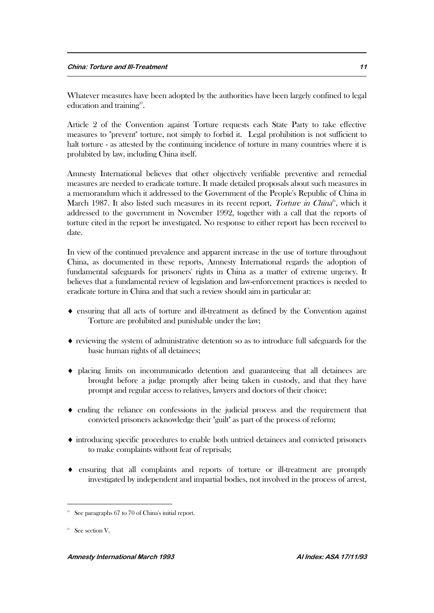Whatever measures have been adopted by the authorities have been largely confined to legal education and training<sup>23</sup>.

Article 2 of the Convention against Torture requests each State Party to take effective measures to "prevent" torture, not simply to forbid it. Legal prohibition is not sufficient to halt torture - as attested by the continuing incidence of torture in many countries where it is prohibited by law, including China itself.

Amnesty International believes that other objectively verifiable preventive and remedial measures are needed to eradicate torture. It made detailed proposals about such measures in a memorandum which it addressed to the Government of the People's Republic of China in March 1987. It also listed such measures in its recent report, Torture in China<sup>24</sup>, which it addressed to the government in November 1992, together with a call that the reports of torture cited in the report be investigated. No response to either report has been received to date.

In view of the continued prevalence and apparent increase in the use of torture throughout China, as documented in these reports, Amnesty International regards the adoption of fundamental safeguards for prisoners' rights in China as a matter of extreme urgency. It believes that a fundamental review of legislation and law-enforcement practices is needed to eradicate torture in China and that such a review should aim in particular at:

- ensuring that all acts of torture and ill-treatment as defined by the Convention against Torture are prohibited and punishable under the law;
- $\bullet$  reviewing the system of administrative detention so as to introduce full safeguards for the basic human rights of all detainees;
- placing limits on incommunicado detention and guaranteeing that all detainees are brought before a judge promptly after being taken in custody, and that they have prompt and regular access to relatives, lawyers and doctors of their choice;
- $\bullet$  ending the reliance on confessions in the judicial process and the requirement that convicted prisoners acknowledge their "guilt" as part of the process of reform;
- introducing specific procedures to enable both untried detainees and convicted prisoners to make complaints without fear of reprisals;
- ensuring that all complaints and reports of torture or ill-treatment are promptly investigated by independent and impartial bodies, not involved in the process of arrest,

<sup>23</sup> See paragraphs 67 to 70 of China's initial report.

<sup>24</sup> See section V.